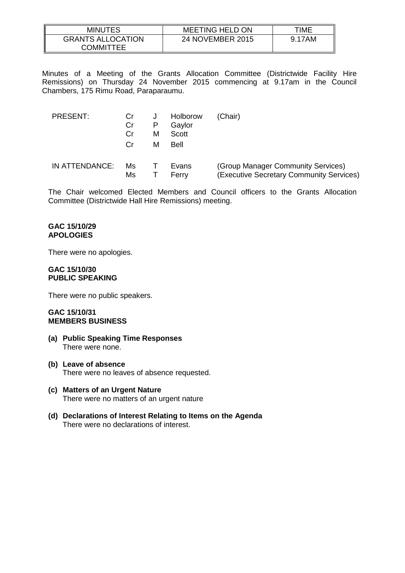| MINUTES                               | <b>MEETING HELD ON</b> | TIME   |
|---------------------------------------|------------------------|--------|
| <b>GRANTS ALLOCATION</b><br>COMMITTEE | 24 NOVEMBER 2015       | 9.17AM |

Minutes of a Meeting of the Grants Allocation Committee (Districtwide Facility Hire Remissions) on Thursday 24 November 2015 commencing at 9.17am in the Council Chambers, 175 Rimu Road, Paraparaumu.

| <b>PRESENT:</b> | Cr<br>Cr<br>Cr | J<br>P<br>м<br>м | Holborow<br>Gaylor<br>Scott<br>Bell | (Chair)                                                                        |
|-----------------|----------------|------------------|-------------------------------------|--------------------------------------------------------------------------------|
| IN ATTENDANCE:  | Ms<br>Ms       |                  | Evans<br>Ferry                      | (Group Manager Community Services)<br>(Executive Secretary Community Services) |

The Chair welcomed Elected Members and Council officers to the Grants Allocation Committee (Districtwide Hall Hire Remissions) meeting.

### **GAC 15/10/29 APOLOGIES**

There were no apologies.

#### **GAC 15/10/30 PUBLIC SPEAKING**

There were no public speakers.

## **GAC 15/10/31 MEMBERS BUSINESS**

- **(a) Public Speaking Time Responses** There were none.
- **(b) Leave of absence** There were no leaves of absence requested.
- **(c) Matters of an Urgent Nature** There were no matters of an urgent nature
- **(d) Declarations of Interest Relating to Items on the Agenda** There were no declarations of interest.